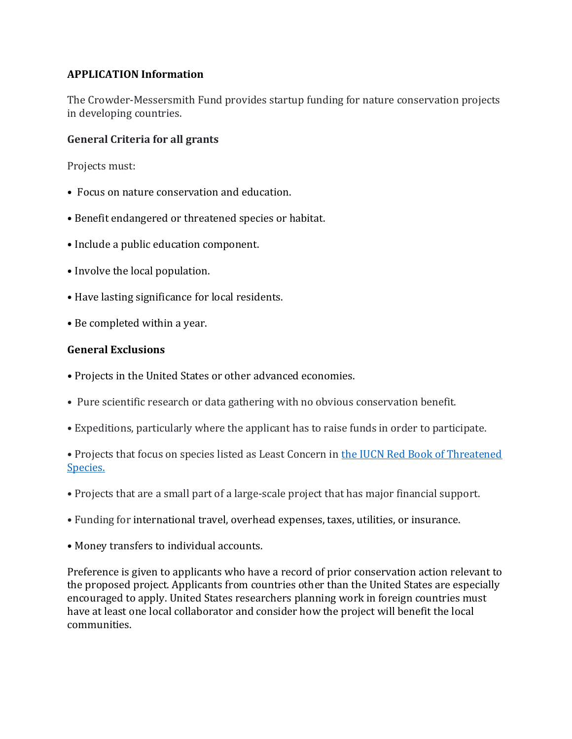# **APPLICATION Information**

The Crowder-Messersmith Fund provides startup funding for nature conservation projects in developing countries.

### **General Criteria for all grants**

Projects must:

- Focus on nature conservation and education.
- Benefit endangered or threatened species or habitat.
- Include a public education component.
- Involve the local population.
- Have lasting significance for local residents.
- Be completed within a year.

#### **General Exclusions**

- Projects in the United States or other advanced economies.
- Pure scientific research or data gathering with no obvious conservation benefit.
- Expeditions, particularly where the applicant has to raise funds in order to participate.

• Projects that focus on species listed as Least Concern in the IUCN Red Book of Threatened [Species.](https://www.iucnredlist.org/)

- Projects that are a small part of a large-scale project that has major financial support.
- Funding for international travel, overhead expenses, taxes, utilities, or insurance.
- Money transfers to individual accounts.

Preference is given to applicants who have a record of prior conservation action relevant to the proposed project. Applicants from countries other than the United States are especially encouraged to apply. United States researchers planning work in foreign countries must have at least one local collaborator and consider how the project will benefit the local communities.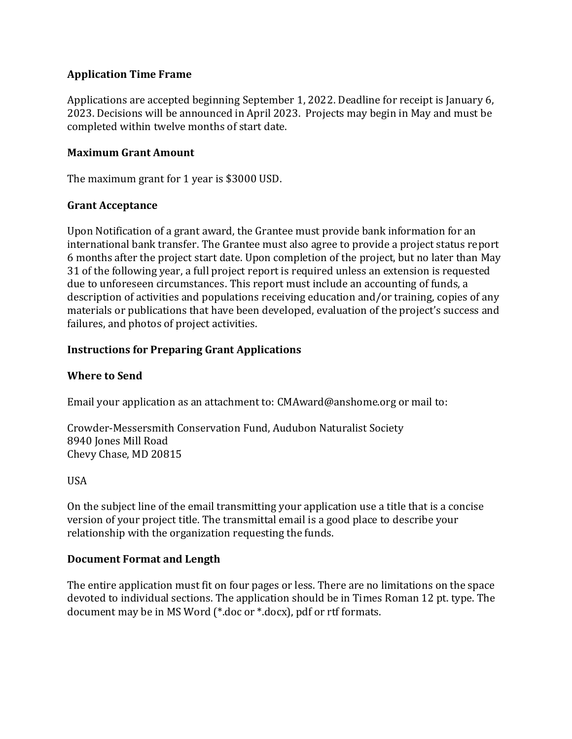# **Application Time Frame**

Applications are accepted beginning September 1, 2022. Deadline for receipt is January 6, 2023. Decisions will be announced in April 2023. Projects may begin in May and must be completed within twelve months of start date.

### **Maximum Grant Amount**

The maximum grant for 1 year is \$3000 USD.

#### **Grant Acceptance**

Upon Notification of a grant award, the Grantee must provide bank information for an international bank transfer. The Grantee must also agree to provide a project status report 6 months after the project start date. Upon completion of the project, but no later than May 31 of the following year, a full project report is required unless an extension is requested due to unforeseen circumstances. This report must include an accounting of funds, a description of activities and populations receiving education and/or training, copies of any materials or publications that have been developed, evaluation of the project's success and failures, and photos of project activities.

# **Instructions for Preparing Grant Applications**

#### **Where to Send**

Email your application as an attachment to: CMAward@anshome.org or mail to:

Crowder-Messersmith Conservation Fund, Audubon Naturalist Society 8940 Jones Mill Road Chevy Chase, MD 20815

#### USA

On the subject line of the email transmitting your application use a title that is a concise version of your project title. The transmittal email is a good place to describe your relationship with the organization requesting the funds.

#### **Document Format and Length**

The entire application must fit on four pages or less. There are no limitations on the space devoted to individual sections. The application should be in Times Roman 12 pt. type. The document may be in MS Word (\*.doc or \*.docx), pdf or rtf formats.